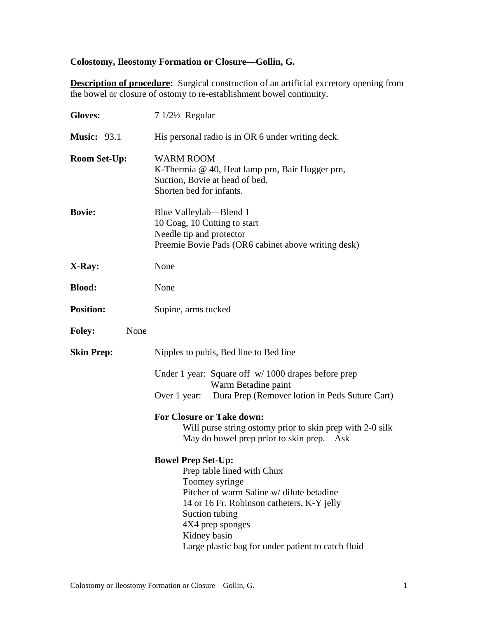# **Colostomy, Ileostomy Formation or Closure—Gollin, G.**

**Description of procedure:** Surgical construction of an artificial excretory opening from the bowel or closure of ostomy to re-establishment bowel continuity.

| <b>Gloves:</b>        | $71/2\frac{1}{2}$ Regular                                                                                                                                                                                                                                                        |
|-----------------------|----------------------------------------------------------------------------------------------------------------------------------------------------------------------------------------------------------------------------------------------------------------------------------|
| <b>Music: 93.1</b>    | His personal radio is in OR 6 under writing deck.                                                                                                                                                                                                                                |
| <b>Room Set-Up:</b>   | <b>WARM ROOM</b><br>K-Thermia @ 40, Heat lamp prn, Bair Hugger prn,<br>Suction, Bovie at head of bed.<br>Shorten bed for infants.                                                                                                                                                |
| <b>Bovie:</b>         | Blue Valleylab—Blend 1<br>10 Coag, 10 Cutting to start<br>Needle tip and protector<br>Preemie Bovie Pads (OR6 cabinet above writing desk)                                                                                                                                        |
| X-Ray:                | None                                                                                                                                                                                                                                                                             |
| <b>Blood:</b>         | None                                                                                                                                                                                                                                                                             |
| <b>Position:</b>      | Supine, arms tucked                                                                                                                                                                                                                                                              |
| <b>Foley:</b><br>None |                                                                                                                                                                                                                                                                                  |
| <b>Skin Prep:</b>     | Nipples to pubis, Bed line to Bed line                                                                                                                                                                                                                                           |
|                       | Under 1 year: Square off w/ 1000 drapes before prep<br>Warm Betadine paint<br>Dura Prep (Remover lotion in Peds Suture Cart)<br>Over 1 year:                                                                                                                                     |
|                       | <b>For Closure or Take down:</b><br>Will purse string ostomy prior to skin prep with 2-0 silk<br>May do bowel prep prior to skin prep.—Ask                                                                                                                                       |
|                       | <b>Bowel Prep Set-Up:</b><br>Prep table lined with Chux<br>Toomey syringe<br>Pitcher of warm Saline w/ dilute betadine<br>14 or 16 Fr. Robinson catheters, K-Y jelly<br>Suction tubing<br>4X4 prep sponges<br>Kidney basin<br>Large plastic bag for under patient to catch fluid |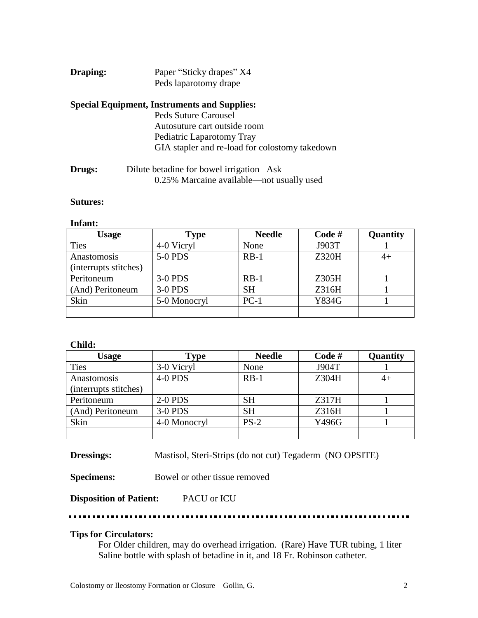# **Draping:** Paper "Sticky drapes" X4 Peds laparotomy drape

# **Special Equipment, Instruments and Supplies:**

Peds Suture Carousel Autosuture cart outside room Pediatric Laparotomy Tray GIA stapler and re-load for colostomy takedown

**Drugs:** Dilute betadine for bowel irrigation –Ask 0.25% Marcaine available—not usually used

#### **Sutures:**

#### **Infant:**

| <b>Usage</b>          | Type         | <b>Needle</b> | Code# | Quantity |
|-----------------------|--------------|---------------|-------|----------|
| <b>Ties</b>           | 4-0 Vicryl   | None          | J903T |          |
| Anastomosis           | 5-0 PDS      | $RB-1$        | Z320H | 4+       |
| (interrupts stitches) |              |               |       |          |
| Peritoneum            | 3-0 PDS      | $RB-1$        | Z305H |          |
| (And) Peritoneum      | 3-0 PDS      | <b>SH</b>     | Z316H |          |
| Skin                  | 5-0 Monocryl | $PC-1$        | Y834G |          |
|                       |              |               |       |          |

#### **Child:**

| <b>Usage</b>          | <b>Type</b>  | <b>Needle</b> | Code# | Quantity |
|-----------------------|--------------|---------------|-------|----------|
| <b>Ties</b>           | 3-0 Vicryl   | None          | J904T |          |
| Anastomosis           | 4-0 PDS      | $RB-1$        | Z304H | 4+       |
| (interrupts stitches) |              |               |       |          |
| Peritoneum            | $2-0$ PDS    | <b>SH</b>     | Z317H |          |
| (And) Peritoneum      | 3-0 PDS      | <b>SH</b>     | Z316H |          |
| Skin                  | 4-0 Monocryl | $PS-2$        | Y496G |          |
|                       |              |               |       |          |

**Dressings:** Mastisol, Steri-Strips (do not cut) Tegaderm (NO OPSITE)

**Specimens:** Bowel or other tissue removed

**Disposition of Patient:** PACU or ICU

#### **Tips for Circulators:**

For Older children, may do overhead irrigation. (Rare) Have TUR tubing, 1 liter Saline bottle with splash of betadine in it, and 18 Fr. Robinson catheter.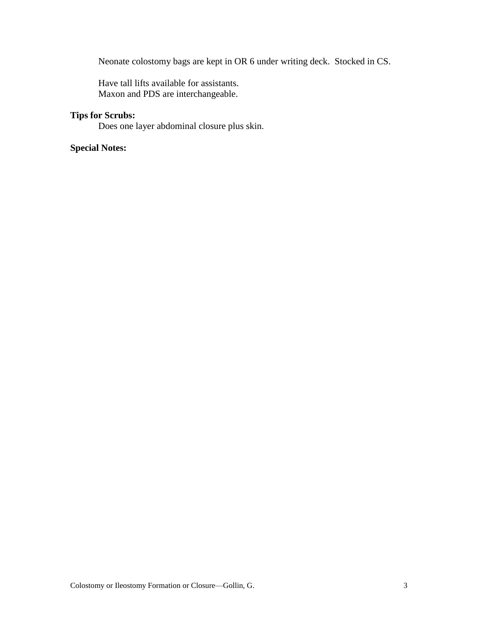Neonate colostomy bags are kept in OR 6 under writing deck. Stocked in CS.

Have tall lifts available for assistants. Maxon and PDS are interchangeable.

#### **Tips for Scrubs:**

Does one layer abdominal closure plus skin.

# **Special Notes:**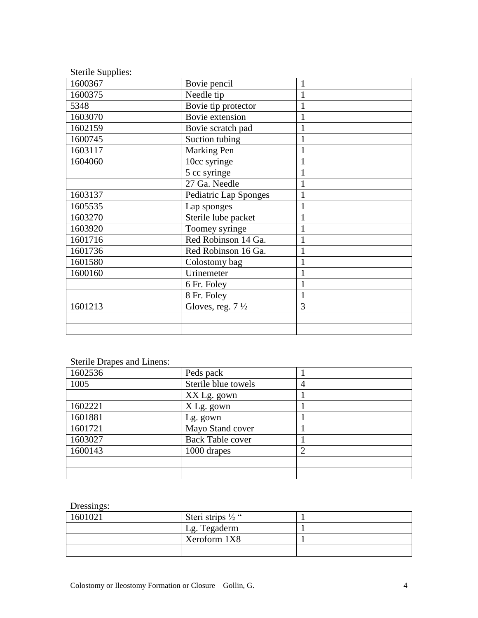| <b>Sterile Supplies:</b> |                             |              |
|--------------------------|-----------------------------|--------------|
| 1600367                  | Bovie pencil                |              |
| 1600375                  | Needle tip                  |              |
| 5348                     | Bovie tip protector         |              |
| 1603070                  | Bovie extension             |              |
| 1602159                  | Bovie scratch pad           |              |
| 1600745                  | Suction tubing              | 1            |
| 1603117                  | Marking Pen                 |              |
| 1604060                  | 10cc syringe                |              |
|                          | 5 cc syringe                |              |
|                          | 27 Ga. Needle               |              |
| 1603137                  | Pediatric Lap Sponges       |              |
| 1605535                  | Lap sponges                 |              |
| 1603270                  | Sterile lube packet         | 1            |
| 1603920                  | Toomey syringe              |              |
| 1601716                  | Red Robinson 14 Ga.         |              |
| 1601736                  | Red Robinson 16 Ga.         |              |
| 1601580                  | Colostomy bag               |              |
| 1600160                  | Urinemeter                  |              |
|                          | 6 Fr. Foley                 |              |
|                          | 8 Fr. Foley                 | $\mathbf{1}$ |
| 1601213                  | Gloves, reg. $7\frac{1}{2}$ | 3            |
|                          |                             |              |
|                          |                             |              |

# Sterile Drapes and Linens:

| 1602536 | Peds pack               |  |
|---------|-------------------------|--|
| 1005    | Sterile blue towels     |  |
|         | XX Lg. gown             |  |
| 1602221 | X Lg. gown              |  |
| 1601881 | Lg. gown                |  |
| 1601721 | Mayo Stand cover        |  |
| 1603027 | <b>Back Table cover</b> |  |
| 1600143 | 1000 drapes             |  |
|         |                         |  |
|         |                         |  |

# Dressings:

| 1601021 | Steri strips $\frac{1}{2}$ " |  |
|---------|------------------------------|--|
|         | Lg. Tegaderm                 |  |
|         | Xeroform 1X8                 |  |
|         |                              |  |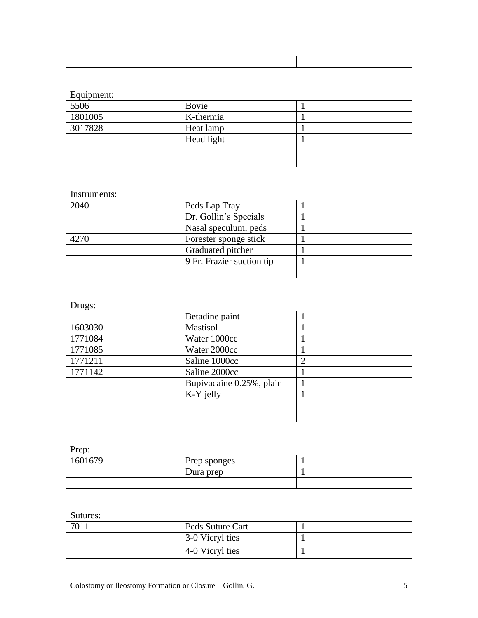# Equipment:

| 5506    | Bovie      |  |
|---------|------------|--|
| 1801005 | K-thermia  |  |
| 3017828 | Heat lamp  |  |
|         | Head light |  |
|         |            |  |
|         |            |  |

### Instruments:

| 2040 | Peds Lap Tray             |  |
|------|---------------------------|--|
|      | Dr. Gollin's Specials     |  |
|      | Nasal speculum, peds      |  |
| 4270 | Forester sponge stick     |  |
|      | Graduated pitcher         |  |
|      | 9 Fr. Frazier suction tip |  |
|      |                           |  |

#### Drugs:

|         | Betadine paint           |  |
|---------|--------------------------|--|
| 1603030 | Mastisol                 |  |
| 1771084 | Water 1000cc             |  |
| 1771085 | Water 2000cc             |  |
| 1771211 | Saline 1000cc            |  |
| 1771142 | Saline 2000cc            |  |
|         | Bupivacaine 0.25%, plain |  |
|         | K-Y jelly                |  |
|         |                          |  |
|         |                          |  |

# Prep:

| 1601679 | Prep sponges |  |
|---------|--------------|--|
|         | Dura prep    |  |
|         |              |  |

## Sutures:

| 7011 | Peds Suture Cart |  |
|------|------------------|--|
|      | 3-0 Vicryl ties  |  |
|      | 4-0 Vicryl ties  |  |